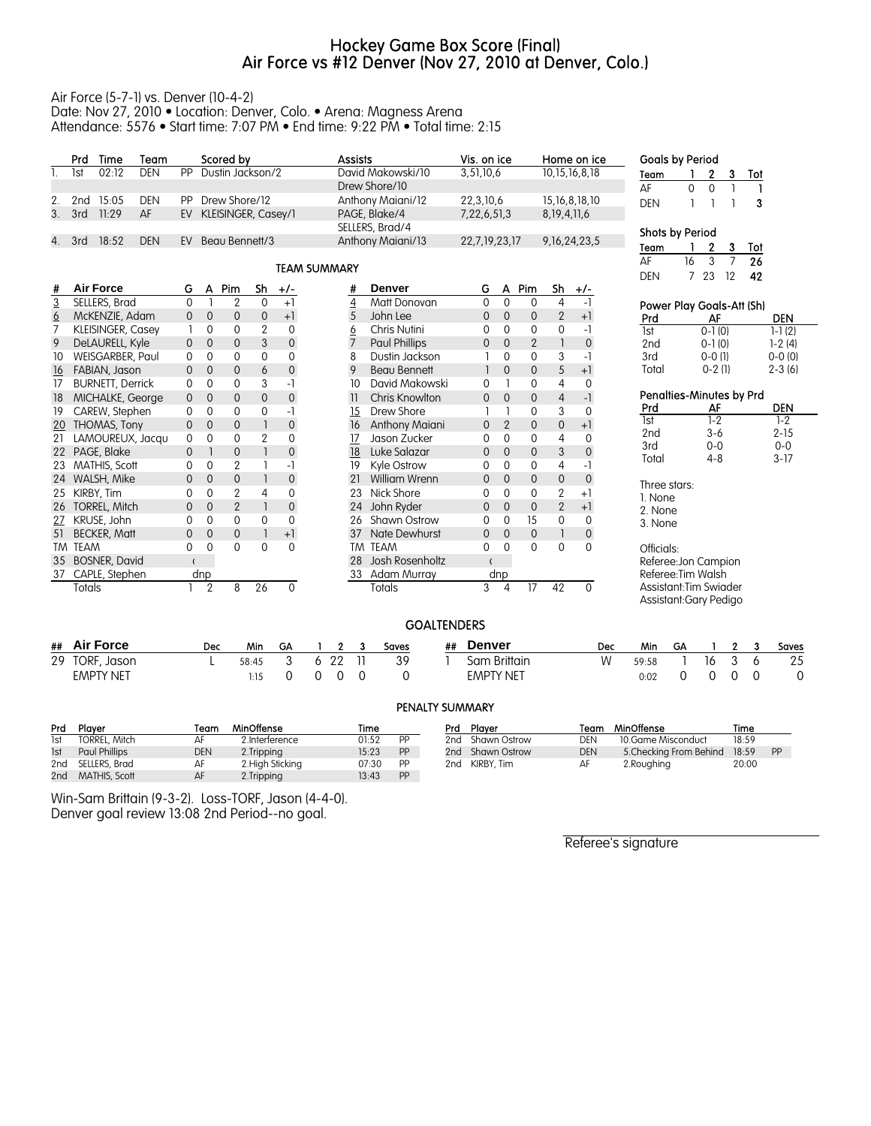# Hockey Game Box Score (Final) Air Force vs #12 Denver (Nov 27, 2010 at Denver, Colo.)

#### Air Force (5-7-1) vs. Denver (10-4-2) Date: Nov 27, 2010 • Location: Denver, Colo. • Arena: Magness Arena Attendance: 5576 • Start time: 7:07 PM • End time: 9:22 PM • Total time: 2:15

|                | Prd             | Time                     | Team       |                |                | Scored by           |                |                     | <b>Assists</b>      |                      | Vis. on ice   |                |                |                 | Home on ice       | <b>Goals by Period</b>    |          |                    |                |     |                 |
|----------------|-----------------|--------------------------|------------|----------------|----------------|---------------------|----------------|---------------------|---------------------|----------------------|---------------|----------------|----------------|-----------------|-------------------|---------------------------|----------|--------------------|----------------|-----|-----------------|
| 1.             | <b>lst</b>      | 02:12                    | <b>DEN</b> | PP             |                | Dustin Jackson/2    |                |                     |                     | David Makowski/10    | 3,51,10,6     |                |                |                 | 10, 15, 16, 8, 18 | Team                      |          | 2 <sub>3</sub>     |                | Tot |                 |
|                |                 |                          |            |                |                |                     |                |                     |                     | Drew Shore/10        |               |                |                |                 |                   | AF                        | $\Omega$ | $\mathbf{0}$       | $\overline{1}$ |     |                 |
| 2.             | 2 <sub>nd</sub> | 15:05                    | <b>DEN</b> | PP             |                | Drew Shore/12       |                |                     |                     | Anthony Maiani/12    |               | 22,3,10,6      |                |                 | 15, 16, 8, 18, 10 | <b>DEN</b>                |          |                    |                | 3   |                 |
| 3 <sub>1</sub> | 3rd             | 11:29                    | AF         | EV             |                | KLEISINGER, Casey/1 |                |                     |                     | PAGE, Blake/4        | 7,22,6,51,3   |                |                | 8, 19, 4, 11, 6 |                   |                           |          |                    |                |     |                 |
|                |                 |                          |            |                |                |                     |                |                     |                     | SELLERS, Brad/4      |               |                |                |                 |                   | Shots by Period           |          |                    |                |     |                 |
| 4.             | 3rd             | 18:52                    | <b>DEN</b> | EV             |                | Beau Bennett/3      |                |                     |                     | Anthony Maiani/13    | 22,7,19,23,17 |                |                |                 | 9, 16, 24, 23, 5  | Team                      |          | $\mathbf{2}$       | 3              | Tot |                 |
|                |                 |                          |            |                |                |                     |                |                     |                     |                      |               |                |                |                 |                   | AF                        | 16       | 3                  | $\overline{7}$ | 26  |                 |
|                |                 |                          |            |                |                |                     |                |                     | <b>TEAM SUMMARY</b> |                      |               |                |                |                 |                   | <b>DEN</b>                |          | 7 23               | 12             | 42  |                 |
| #              |                 | <b>Air Force</b>         |            | G              | A              | Pim                 | $\mathsf{Sh}$  | $+/-$               | #                   | <b>Denver</b>        | G             | A              | Pim            | Sh              | $+/-$             |                           |          |                    |                |     |                 |
| $\overline{3}$ |                 | <b>SELLERS, Brad</b>     |            | $\Omega$       |                | $\overline{2}$      | $\Omega$       | $+1$                | $\overline{4}$      | Matt Donovan         | $\Omega$      | $\mathbf{0}$   | $\Omega$       | $\overline{4}$  | $-1$              | Power Play Goals-Att (Sh) |          |                    |                |     |                 |
| 6              |                 | McKENZIE, Adam           |            | $\mathbf 0$    | $\mathbf 0$    | $\mathbf 0$         | $\mathbf 0$    | $+1$                | 5                   | John Lee             | $\mathbf{0}$  | $\mathbf{0}$   | $\overline{0}$ | $\overline{2}$  | $+1$              | Prd                       |          | AF                 |                |     | <b>DEN</b>      |
| $\overline{7}$ |                 | <b>KLEISINGER, Casey</b> |            |                | $\mathbf 0$    | $\mathbf 0$         | $\overline{2}$ | $\mathbf 0$         | 6                   | Chris Nutini         | 0             | $\Omega$       | $\mathbf 0$    | 0               | $-1$              | $\overline{\text{lst}}$   |          | $0-1(0)$           |                |     | $1-1(2)$        |
| 9              |                 | DeLAURELL, Kyle          |            | $\mathbf{0}$   | $\mathbf{0}$   | $\overline{0}$      | 3              | $\mathsf{O}\xspace$ | $\overline{7}$      | <b>Paul Phillips</b> | $\mathbf{0}$  | $\mathbf{0}$   | $\mathbf{2}$   | $\mathbf{1}$    | $\mathbf 0$       | 2nd                       |          | $0-1(0)$           |                |     | $1-2(4)$        |
| 10             |                 | WEISGARBER, Paul         |            | $\Omega$       | 0              | $\mathbf{0}$        | $\Omega$       | $\Omega$            | 8                   | Dustin Jackson       |               | $\Omega$       | $\Omega$       | 3               | -1                | 3rd                       |          | $0-0(1)$           |                |     | $0 - 0 (0)$     |
| 16             |                 | FABIAN, Jason            |            | $\Omega$       | $\mathbf{0}$   | $\mathbf{0}$        | 6              | $\boldsymbol{0}$    | 9                   | <b>Beau Bennett</b>  |               | $\mathbf{0}$   | $\Omega$       | 5               | $+1$              | Total                     |          | $0-2(1)$           |                |     | $2 - 3(6)$      |
| 17             |                 | <b>BURNETT, Derrick</b>  |            | $\Omega$       | $\mathbf{0}$   | $\Omega$            | 3              | -1                  | 10                  | David Makowski       | $\mathbf{0}$  |                | $\Omega$       | 4               | $\Omega$          |                           |          |                    |                |     |                 |
| 18             |                 | MICHALKE, George         |            | $\overline{0}$ | $\overline{0}$ | $\mathbf{0}$        | $\overline{0}$ | $\boldsymbol{0}$    | 11                  | Chris Knowlton       | $\mathbf{0}$  | $\mathbf{0}$   | $\overline{0}$ | $\overline{4}$  | $-1$              | Penalties-Minutes by Prd  |          |                    |                |     |                 |
| 19             |                 | CAREW, Stephen           |            | $\mathbf 0$    | $\mathbf 0$    | $\mathbf 0$         | 0              | -1                  | 15                  | Drew Shore           |               |                | $\mathbf 0$    | 3               | $\mathbf 0$       | Prd                       |          | AF                 |                |     | <b>DEN</b>      |
| 20             |                 | THOMAS, Tony             |            | $\mathbf 0$    | $\mathbf 0$    | $\mathbf 0$         |                | $\mathbf 0$         | 16                  | Anthony Maiani       | $\mathbf 0$   | $\overline{2}$ | $\mathbf 0$    | 0               | $+1$              | <b>Ist</b>                |          | $1 - 2$            |                |     | $1 - 2$         |
| 21             |                 | LAMOUREUX, Jacau         |            | $\mathbf 0$    | $\mathbf 0$    | $\mathbf 0$         | $\overline{2}$ | $\Omega$            | 17                  | Jason Zucker         | 0             | $\mathbf 0$    | $\mathbf 0$    | 4               | $\Omega$          | 2 <sub>nd</sub>           |          | $3-6$              |                |     | $2 - 15$        |
| 22             |                 | PAGE, Blake              |            | $\mathbf{0}$   |                | $\mathbf{0}$        | $\mathbf{1}$   | $\mathbf{0}$        | 18                  | Luke Salazar         | $\mathbf{0}$  | $\mathbf{0}$   | $\overline{0}$ | 3               | $\mathbf 0$       | 3rd                       |          | $0 - 0$<br>$4 - 8$ |                |     | $0-0$<br>$3-17$ |
| 23             |                 | MATHIS, Scott            |            | $\Omega$       | $\mathbf 0$    | $\overline{2}$      |                | -1                  | 19                  | Kyle Ostrow          | $\Omega$      | $\Omega$       | $\Omega$       | 4               | $-1$              | Total                     |          |                    |                |     |                 |
| 24             |                 | WALSH, Mike              |            | $\mathbf{0}$   | $\mathbf{0}$   | $\mathbf 0$         |                | $\pmb{0}$           | 21                  | <b>William Wrenn</b> | $\mathbf{0}$  | $\mathbf{0}$   | $\overline{0}$ | 0               | $\overline{0}$    | Three stars:              |          |                    |                |     |                 |
| 25             |                 | KIRBY, Tim               |            | $\mathbf 0$    | $\mathbf{0}$   | $\mathbf{2}$        | 4              | 0                   | 23                  | Nick Shore           | $\Omega$      | $\Omega$       | $\Omega$       | $\overline{2}$  | $+1$              | 1. None                   |          |                    |                |     |                 |
| 26             |                 | TORREL, Mitch            |            | $\mathbf 0$    | $\mathbf 0$    | $\overline{2}$      |                | $\mathbf 0$         | 24                  | John Ryder           | $\mathbf{0}$  | $\overline{0}$ | $\overline{0}$ | $\overline{2}$  | $+1$              | 2. None                   |          |                    |                |     |                 |
|                |                 | KRUSE, John              |            | $\mathbf 0$    | $\mathbf 0$    | $\mathbf 0$         | 0              | $\mathbf 0$         | 26                  | Shawn Ostrow         | 0             | $\mathbf 0$    | 15             | 0               | $\mathbf 0$       | 3. None                   |          |                    |                |     |                 |
| 51             |                 | <b>BECKER, Matt</b>      |            | $\Omega$       | $\Omega$       | $\mathbf{0}$        |                | $+1$                | 37                  | Nate Dewhurst        | $\Omega$      | $\Omega$       | $\mathbf{0}$   | $\mathbf{1}$    | $\mathbf{0}$      |                           |          |                    |                |     |                 |
|                | TM TEAM         |                          |            | $\mathbf 0$    | $\Omega$       | $\Omega$            | $\mathbf{0}$   | $\Omega$            |                     | TM TEAM              | $\Omega$      | $\Omega$       | $\Omega$       | $\mathbf{0}$    | $\Omega$          | Officials:                |          |                    |                |     |                 |
| 35             |                 | <b>BOSNER, David</b>     |            | $\epsilon$     |                |                     |                |                     | 28                  | Josh Rosenholtz      | $\epsilon$    |                |                |                 |                   | Referee: Jon Campion      |          |                    |                |     |                 |
| 37             |                 | CAPLE, Stephen           |            |                | dnp            |                     |                |                     | 33                  | Adam Murray          |               | dnp            |                |                 |                   | Referee: Tim Walsh        |          |                    |                |     |                 |
|                | Totals          |                          |            |                | $\overline{2}$ | 8                   | 26             | $\mathbf 0$         |                     | <b>Totals</b>        | 3             | 4              | 17             | 42              | $\mathbf{0}$      | Assistant: Tim Swiader    |          |                    |                |     |                 |
|                |                 |                          |            |                |                |                     |                |                     |                     |                      |               |                |                |                 |                   | Assistant: Gary Pedigo    |          |                    |                |     |                 |
|                |                 |                          |            |                |                |                     |                |                     |                     |                      |               |                |                |                 |                   |                           |          |                    |                |     |                 |

### GOALTENDERS

| ## Air Force     | Dec | Min   | GΑ | $\mathbf{r}$ | Saves | ## | Denver           | Dec | Min   | GA |     | 0 | Saves |
|------------------|-----|-------|----|--------------|-------|----|------------------|-----|-------|----|-----|---|-------|
| 29 TORF, Jason   |     | 58.45 |    | 6 22         | 39    |    | Sam Brittain     |     | 59:58 |    | 16. |   | 25    |
| <b>EMPTY NET</b> |     |       |    |              |       |    | <b>EMPTY NET</b> |     | 0:02  |    |     |   |       |

|  | PENALTY SUMMARY |  |  |  |
|--|-----------------|--|--|--|
|  |                 |  |  |  |

| Prd        | Plaver               | Team       | MinOffense       | Time  |           | Prd | Plaver           | Team       | MinOffense              | Time  |    |
|------------|----------------------|------------|------------------|-------|-----------|-----|------------------|------------|-------------------------|-------|----|
| <b>Ist</b> | <b>TORREL, Mitch</b> |            | 2.Interference   | 01:52 | PP        |     | 2nd Shawn Ostrow | DEN        | 10.Game Misconduct      | 18:59 |    |
| <b>Ist</b> | <b>Paul Phillips</b> | <b>DEN</b> | 2.Tripping       | 15:23 | <b>PP</b> |     | 2nd Shawn Ostrow | <b>DEN</b> | 5. Checking From Behind | 18:59 | PP |
|            | 2nd SELLERS, Brad    |            | 2. High Sticking | 07:30 | PP        | 2nd | KIRBY, Tim       | AF         | 2. Roughing             | 20:00 |    |
| 2nd        | MATHIS, Scott        |            | 2.Tripping       | 13:43 | <b>PP</b> |     |                  |            |                         |       |    |

Win-Sam Brittain (9-3-2). Loss-TORF, Jason (4-4-0). Denver goal review 13:08 2nd Period--no goal.

Referee's signature